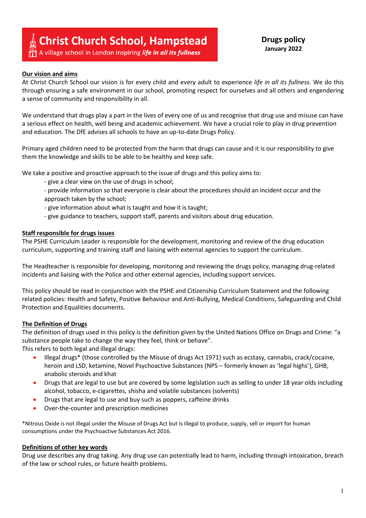# **Christ Church School, Hampstead**

A village school in London inspiring *life in all its fullness* 

# **Drugs policy January 2022**

## **Our vision and aims**

At Christ Church School our vision is for every child and every adult to experience *life in all its fullness.* We do this through ensuring a safe environment in our school, promoting respect for ourselves and all others and engendering a sense of community and responsibility in all.

We understand that drugs play a part in the lives of every one of us and recognise that drug use and misuse can have a serious effect on health, well being and academic achievement. We have a crucial role to play in drug prevention and education. The DfE advises all schools to have an up-to-date Drugs Policy.

Primary aged children need to be protected from the harm that drugs can cause and it is our responsibility to give them the knowledge and skills to be able to be healthy and keep safe.

We take a positive and proactive approach to the issue of drugs and this policy aims to:

- give a clear view on the use of drugs in school;
- provide information so that everyone is clear about the procedures should an incident occur and the approach taken by the school;
- give information about what is taught and how it is taught;
- give guidance to teachers, support staff, parents and visitors about drug education.

## **Staff responsible for drugs issues**

The PSHE Curriculum Leader is responsible for the development, monitoring and review of the drug education curriculum, supporting and training staff and liaising with external agencies to support the curriculum.

The Headteacher is responsible for developing, monitoring and reviewing the drugs policy, managing drug-related incidents and liaising with the Police and other external agencies, including support services.

This policy should be read in conjunction with the PSHE and Citizenship Curriculum Statement and the following related policies: Health and Safety, Positive Behaviour and Anti-Bullying, Medical Conditions, Safeguarding and Child Protection and Equalities documents.

#### **The Definition of Drugs**

The definition of drugs used in this policy is the definition given by the United Nations Office on Drugs and Crime: "a substance people take to change the way they feel, think or behave".

This refers to both legal and illegal drugs:

- Illegal drugs\* (those controlled by the Misuse of drugs Act 1971) such as ecstasy, cannabis, crack/cocaine, heroin and LSD, ketamine, Novel Psychoactive Substances (NPS – formerly known as 'legal highs'), GHB, anabolic steroids and khat
- Drugs that are legal to use but are covered by some legislation such as selling to under 18 year olds including alcohol, tobacco, e-cigarettes, shisha and volatile substances (solvents)
- Drugs that are legal to use and buy such as poppers, caffeine drinks
- Over-the-counter and prescription medicines

\*Nitrous Oxide is not illegal under the Misuse of Drugs Act but is illegal to produce, supply, sell or import for human consumptions under the Psychoactive Substances Act 2016.

# **Definitions of other key words**

Drug use describes any drug taking. Any drug use can potentially lead to harm, including through intoxication, breach of the law or school rules, or future health problems.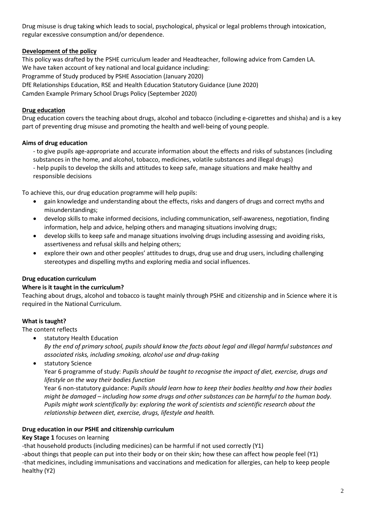Drug misuse is drug taking which leads to social, psychological, physical or legal problems through intoxication, regular excessive consumption and/or dependence.

# **Development of the policy**

This policy was drafted by the PSHE curriculum leader and Headteacher, following advice from Camden LA. We have taken account of key national and local guidance including: Programme of Study produced by PSHE Association (January 2020) DfE Relationships Education, RSE and Health Education Statutory Guidance (June 2020) Camden Example Primary School Drugs Policy (September 2020)

# **Drug education**

Drug education covers the teaching about drugs, alcohol and tobacco (including e-cigarettes and shisha) and is a key part of preventing drug misuse and promoting the health and well-being of young people.

# **Aims of drug education**

- to give pupils age-appropriate and accurate information about the effects and risks of substances (including substances in the home, and alcohol, tobacco, medicines, volatile substances and illegal drugs)

- help pupils to develop the skills and attitudes to keep safe, manage situations and make healthy and responsible decisions

To achieve this, our drug education programme will help pupils:

- gain knowledge and understanding about the effects, risks and dangers of drugs and correct myths and misunderstandings;
- develop skills to make informed decisions, including communication, self-awareness, negotiation, finding information, help and advice, helping others and managing situations involving drugs;
- develop skills to keep safe and manage situations involving drugs including assessing and avoiding risks, assertiveness and refusal skills and helping others;
- explore their own and other peoples' attitudes to drugs, drug use and drug users, including challenging stereotypes and dispelling myths and exploring media and social influences.

# **Drug education curriculum**

# **Where is it taught in the curriculum?**

Teaching about drugs, alcohol and tobacco is taught mainly through PSHE and citizenship and in Science where it is required in the National Curriculum.

# **What is taught?**

The content reflects

- statutory Health Education *By the end of primary school, pupils should know the facts about legal and illegal harmful substances and associated risks, including smoking, alcohol use and drug-taking*
- statutory Science

Year 6 programme of study: *Pupils should be taught to recognise the impact of diet, exercise, drugs and lifestyle on the way their bodies function*

Year 6 non-statutory guidance: *Pupils should learn how to keep their bodies healthy and how their bodies might be damaged – including how some drugs and other substances can be harmful to the human body. Pupils might work scientifically by: exploring the work of scientists and scientific research about the relationship between diet, exercise, drugs, lifestyle and health.*

# **Drug education in our PSHE and citizenship curriculum**

# **Key Stage 1** focuses on learning

-that household products (including medicines) can be harmful if not used correctly (Y1)

-about things that people can put into their body or on their skin; how these can affect how people feel (Y1) -that medicines, including immunisations and vaccinations and medication for allergies, can help to keep people healthy (Y2)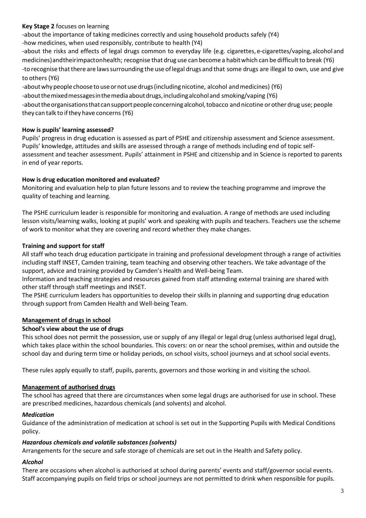# **Key Stage 2** focuses on learning

-about the importance of taking medicines correctly and using household products safely (Y4) -how medicines, when used responsibly, contribute to health (Y4)

-about the risks and effects of legal drugs common to everyday life (e.g. cigarettes, e-cigarettes/vaping, alcohol and medicines) and theirimpacton health; recognise that drug use can become a habit which can be difficult to break (Y6) -to recognise that there are laws surrounding the use of legal drugs and that some drugs are illegal to own, use and give to others (Y6)

-about why people choose to use or not use drugs (including nicotine, alcohol and medicines) (Y6)

-aboutthemixedmessagesinthemediaaboutdrugs,includingalcoholand smoking/vaping (Y6)

-about the organisations that can support people concerning alcohol, tobacco and nicotine or other drug use; people they can talk to if they have concerns (Y6)

# **How is pupils' learning assessed?**

Pupils' progress in drug education is assessed as part of PSHE and citizenship assessment and Science assessment. Pupils' knowledge, attitudes and skills are assessed through a range of methods including end of topic selfassessment and teacher assessment. Pupils' attainment in PSHE and citizenship and in Science is reported to parents in end of year reports.

# **How is drug education monitored and evaluated?**

Monitoring and evaluation help to plan future lessons and to review the teaching programme and improve the quality of teaching and learning.

The PSHE curriculum leader is responsible for monitoring and evaluation. A range of methods are used including lesson visits/learning walks, looking at pupils' work and speaking with pupils and teachers. Teachers use the scheme of work to monitor what they are covering and record whether they make changes.

# **Training and support for staff**

All staff who teach drug education participate in training and professional development through a range of activities including staff INSET, Camden training, team teaching and observing other teachers. We take advantage of the support, advice and training provided by Camden's Health and Well-being Team.

Information and teaching strategies and resources gained from staff attending external training are shared with other staff through staff meetings and INSET.

The PSHE curriculum leaders has opportunities to develop their skills in planning and supporting drug education through support from Camden Health and Well-being Team.

# **Management of drugs in school**

# **School's view about the use of drugs**

This school does not permit the possession, use or supply of any illegal or legal drug (unless authorised legal drug), which takes place within the school boundaries. This covers: on or near the school premises, within and outside the school day and during term time or holiday periods, on school visits, school journeys and at school social events.

These rules apply equally to staff, pupils, parents, governors and those working in and visiting the school.

# **Management of authorised drugs**

The school has agreed that there are circumstances when some legal drugs are authorised for use in school. These are prescribed medicines, hazardous chemicals (and solvents) and alcohol.

# *Medication*

Guidance of the administration of medication at school is set out in the Supporting Pupils with Medical Conditions policy.

# *Hazardous chemicals and volatile substances (solvents)*

Arrangements for the secure and safe storage of chemicals are set out in the Health and Safety policy.

# *Alcohol*

There are occasions when alcohol is authorised at school during parents' events and staff/governor social events. Staff accompanying pupils on field trips or school journeys are not permitted to drink when responsible for pupils.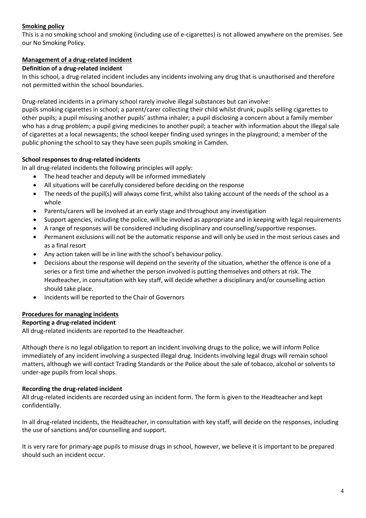# **Smoking policy**

This is a no smoking school and smoking (including use of e-cigarettes) is not allowed anywhere on the premises. See our No Smoking Policy.

# **Management of a drug-related incident**

# **Definition of a drug-related incident**

In this school, a drug-related incident includes any incidents involving any drug that is unauthorised and therefore not permitted within the school boundaries.

Drug-related incidents in a primary school rarely involve illegal substances but can involve:

pupils smoking cigarettes in school; a parent/carer collecting their child whilst drunk; pupils selling cigarettes to other pupils; a pupil misusing another pupils' asthma inhaler; a pupil disclosing a concern about a family member who has a drug problem; a pupil giving medicines to another pupil; a teacher with information about the illegal sale of cigarettes at a local newsagents; the school keeper finding used syringes in the playground; a member of the public phoning the school to say they have seen pupils smoking in Camden.

# **School responses to drug-related incidents**

In all drug-related incidents the following principles will apply:

- The head teacher and deputy will be informed immediately
- All situations will be carefully considered before deciding on the response
- The needs of the pupil(s) will always come first, whilst also taking account of the needs of the school as a whole
- Parents/carers will be involved at an early stage and throughout any investigation
- Support agencies, including the police, will be involved as appropriate and in keeping with legal requirements
- A range of responses will be considered including disciplinary and counselling/supportive responses.
- Permanent exclusions will not be the automatic response and will only be used in the most serious cases and as a final resort
- Any action taken will be in line with the school's behaviour policy.
- Decisions about the response will depend on the severity of the situation, whether the offence is one of a series or a first time and whether the person involved is putting themselves and others at risk. The Headteacher, in consultation with key staff, will decide whether a disciplinary and/or counselling action should take place.
- Incidents will be reported to the Chair of Governors

# **Procedures for managing incidents**

# **Reporting a drug-related incident**

All drug-related incidents are reported to the Headteacher.

Although there is no legal obligation to report an incident involving drugs to the police, we will inform Police immediately of any incident involving a suspected illegal drug. Incidents involving legal drugs will remain school matters, although we will contact Trading Standards or the Police about the sale of tobacco, alcohol or solvents to under-age pupils from local shops.

# **Recording the drug-related incident**

All drug-related incidents are recorded using an incident form. The form is given to the Headteacher and kept confidentially.

In all drug-related incidents, the Headteacher, in consultation with key staff, will decide on the responses, including the use of sanctions and/or counselling and support.

It is very rare for primary-age pupils to misuse drugs in school, however, we believe it is important to be prepared should such an incident occur.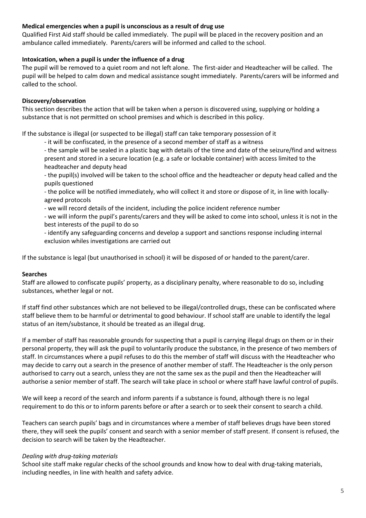# **Medical emergencies when a pupil is unconscious as a result of drug use**

Qualified First Aid staff should be called immediately. The pupil will be placed in the recovery position and an ambulance called immediately. Parents/carers will be informed and called to the school.

## **Intoxication, when a pupil is under the influence of a drug**

The pupil will be removed to a quiet room and not left alone. The first-aider and Headteacher will be called. The pupil will be helped to calm down and medical assistance sought immediately. Parents/carers will be informed and called to the school.

## **Discovery/observation**

This section describes the action that will be taken when a person is discovered using, supplying or holding a substance that is not permitted on school premises and which is described in this policy.

If the substance is illegal (or suspected to be illegal) staff can take temporary possession of it

- it will be confiscated, in the presence of a second member of staff as a witness

- the sample will be sealed in a plastic bag with details of the time and date of the seizure/find and witness present and stored in a secure location (e.g. a safe or lockable container) with access limited to the headteacher and deputy head

- the pupil(s) involved will be taken to the school office and the headteacher or deputy head called and the pupils questioned

- the police will be notified immediately, who will collect it and store or dispose of it, in line with locallyagreed protocols
- we will record details of the incident, including the police incident reference number

- we will inform the pupil's parents/carers and they will be asked to come into school, unless it is not in the best interests of the pupil to do so

- identify any safeguarding concerns and develop a support and sanctions response including internal exclusion whiles investigations are carried out

If the substance is legal (but unauthorised in school) it will be disposed of or handed to the parent/carer.

#### **Searches**

Staff are allowed to confiscate pupils' property, as a disciplinary penalty, where reasonable to do so, including substances, whether legal or not.

If staff find other substances which are not believed to be illegal/controlled drugs, these can be confiscated where staff believe them to be harmful or detrimental to good behaviour. If school staff are unable to identify the legal status of an item/substance, it should be treated as an illegal drug.

If a member of staff has reasonable grounds for suspecting that a pupil is carrying illegal drugs on them or in their personal property, they will ask the pupil to voluntarily produce the substance, in the presence of two members of staff. In circumstances where a pupil refuses to do this the member of staff will discuss with the Headteacher who may decide to carry out a search in the presence of another member of staff. The Headteacher is the only person authorised to carry out a search, unless they are not the same sex as the pupil and then the Headteacher will authorise a senior member of staff. The search will take place in school or where staff have lawful control of pupils.

We will keep a record of the search and inform parents if a substance is found, although there is no legal requirement to do this or to inform parents before or after a search or to seek their consent to search a child.

Teachers can search pupils' bags and in circumstances where a member of staff believes drugs have been stored there, they will seek the pupils' consent and search with a senior member of staff present. If consent is refused, the decision to search will be taken by the Headteacher.

#### *Dealing with drug-taking materials*

School site staff make regular checks of the school grounds and know how to deal with drug-taking materials, including needles, in line with health and safety advice.